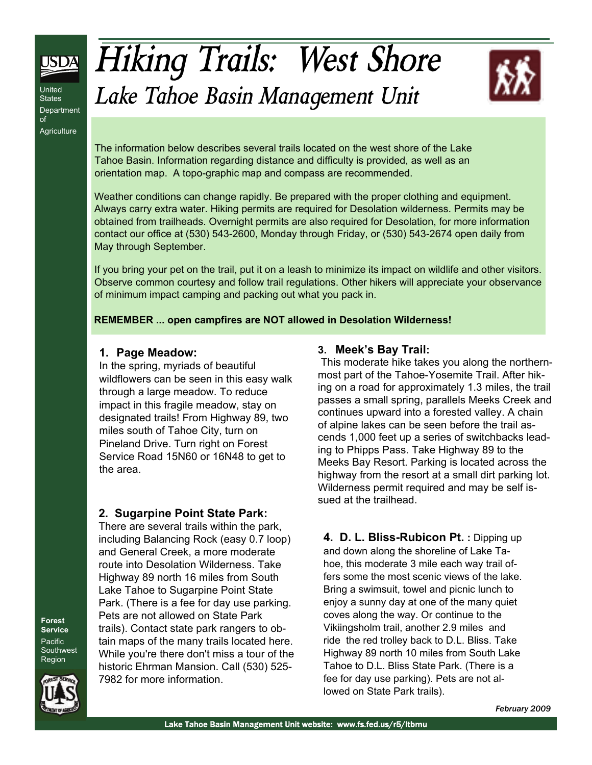

**Forest**  Department<br>of  $\sqrt{2}$ Agriculture United **States** of

# *Hiking Trails: West Shore Lake Tahoe Basin Management Unit*



The information below describes several trails located on the west shore of the Lake Tahoe Basin. Information regarding distance and difficulty is provided, as well as an orientation map. A topo-graphic map and compass are recommended.

Weather conditions can change rapidly. Be prepared with the proper clothing and equipment. Always carry extra water. Hiking permits are required for Desolation wilderness. Permits may be obtained from trailheads. Overnight permits are also required for Desolation, for more information contact our office at (530) 543-2600, Monday through Friday, or (530) 543-2674 open daily from May through September.

If you bring your pet on the trail, put it on a leash to minimize its impact on wildlife and other visitors. Observe common courtesy and follow trail regulations. Other hikers will appreciate your observance of minimum impact camping and packing out what you pack in.

#### **REMEMBER ... open campfires are NOT allowed in Desolation Wilderness!**

#### **1. Page Meadow:**

In the spring, myriads of beautiful wildflowers can be seen in this easy walk through a large meadow. To reduce impact in this fragile meadow, stay on designated trails! From Highway 89, two miles south of Tahoe City, turn on Pineland Drive. Turn right on Forest Service Road 15N60 or 16N48 to get to the area.

#### **2. Sugarpine Point State Park:**

There are several trails within the park, including Balancing Rock (easy 0.7 loop) and General Creek, a more moderate route into Desolation Wilderness. Take Highway 89 north 16 miles from South Lake Tahoe to Sugarpine Point State Park. (There is a fee for day use parking. Pets are not allowed on State Park trails). Contact state park rangers to obtain maps of the many trails located here. While you're there don't miss a tour of the historic Ehrman Mansion. Call (530) 525- 7982 for more information.

#### **3. Meek's Bay Trail:**

This moderate hike takes you along the northernmost part of the Tahoe-Yosemite Trail. After hiking on a road for approximately 1.3 miles, the trail passes a small spring, parallels Meeks Creek and continues upward into a forested valley. A chain of alpine lakes can be seen before the trail ascends 1,000 feet up a series of switchbacks leading to Phipps Pass. Take Highway 89 to the Meeks Bay Resort. Parking is located across the highway from the resort at a small dirt parking lot. Wilderness permit required and may be self issued at the trailhead.

**4. D. L. Bliss-Rubicon Pt. :** Dipping up and down along the shoreline of Lake Tahoe, this moderate 3 mile each way trail offers some the most scenic views of the lake. Bring a swimsuit, towel and picnic lunch to enjoy a sunny day at one of the many quiet coves along the way. Or continue to the Vikiingsholm trail, another 2.9 miles and ride the red trolley back to D.L. Bliss. Take Highway 89 north 10 miles from South Lake Tahoe to D.L. Bliss State Park. (There is a fee for day use parking). Pets are not allowed on State Park trails).

**Forest Service Pacific Southwest** Region



*February 2009*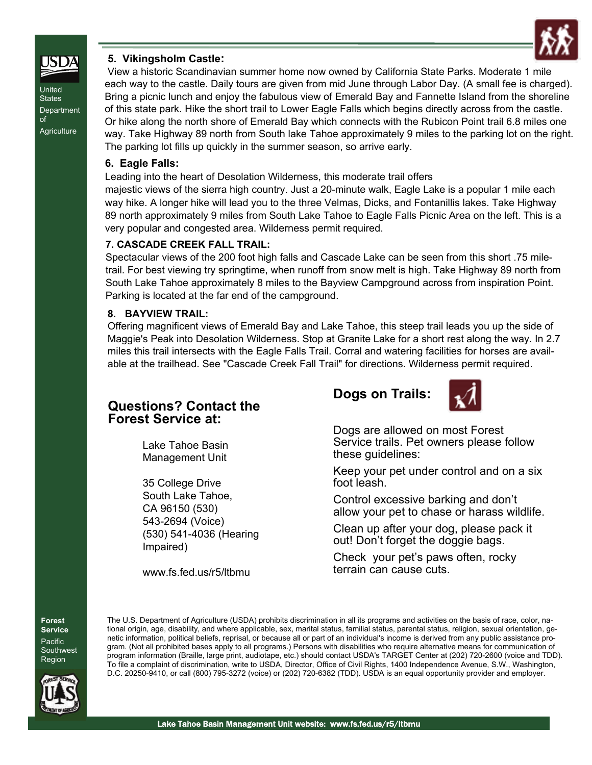

#### **5. Vikingsholm Castle:**

View a historic Scandinavian summer home now owned by California State Parks. Moderate 1 mile each way to the castle. Daily tours are given from mid June through Labor Day. (A small fee is charged). Bring a picnic lunch and enjoy the fabulous view of Emerald Bay and Fannette Island from the shoreline of this state park. Hike the short trail to Lower Eagle Falls which begins directly across from the castle. Or hike along the north shore of Emerald Bay which connects with the Rubicon Point trail 6.8 miles one way. Take Highway 89 north from South lake Tahoe approximately 9 miles to the parking lot on the right. The parking lot fills up quickly in the summer season, so arrive early.

#### **6. Eagle Falls:**

Leading into the heart of Desolation Wilderness, this moderate trail offers

majestic views of the sierra high country. Just a 20-minute walk, Eagle Lake is a popular 1 mile each way hike. A longer hike will lead you to the three Velmas, Dicks, and Fontanillis lakes. Take Highway 89 north approximately 9 miles from South Lake Tahoe to Eagle Falls Picnic Area on the left. This is a very popular and congested area. Wilderness permit required.

#### **7. CASCADE CREEK FALL TRAIL:**

Spectacular views of the 200 foot high falls and Cascade Lake can be seen from this short .75 miletrail. For best viewing try springtime, when runoff from snow melt is high. Take Highway 89 north from South Lake Tahoe approximately 8 miles to the Bayview Campground across from inspiration Point. Parking is located at the far end of the campground.

#### **8. BAYVIEW TRAIL:**

Offering magnificent views of Emerald Bay and Lake Tahoe, this steep trail leads you up the side of Maggie's Peak into Desolation Wilderness. Stop at Granite Lake for a short rest along the way. In 2.7 miles this trail intersects with the Eagle Falls Trail. Corral and watering facilities for horses are available at the trailhead. See "Cascade Creek Fall Trail" for directions. Wilderness permit required.

### **Questions? Contact the Forest Service at:**

Lake Tahoe Basin Management Unit

35 College Drive South Lake Tahoe, CA 96150 (530) 543-2694 (Voice) (530) 541-4036 (Hearing Impaired)

www.fs.fed.us/r5/ltbmu





Dogs are allowed on most Forest Service trails. Pet owners please follow these guidelines:

Keep your pet under control and on a six foot leash.

Control excessive barking and don't allow your pet to chase or harass wildlife.

Clean up after your dog, please pack it out! Don't forget the doggie bags.

Check your pet's paws often, rocky terrain can cause cuts.

**Forest Service Pacific Southwest** Region



The U.S. Department of Agriculture (USDA) prohibits discrimination in all its programs and activities on the basis of race, color, national origin, age, disability, and where applicable, sex, marital status, familial status, parental status, religion, sexual orientation, genetic information, political beliefs, reprisal, or because all or part of an individual's income is derived from any public assistance program. (Not all prohibited bases apply to all programs.) Persons with disabilities who require alternative means for communication of program information (Braille, large print, audiotape, etc.) should contact USDA's TARGET Center at (202) 720-2600 (voice and TDD). To file a complaint of discrimination, write to USDA, Director, Office of Civil Rights, 1400 Independence Avenue, S.W., Washington, D.C. 20250-9410, or call (800) 795-3272 (voice) or (202) 720-6382 (TDD). USDA is an equal opportunity provider and employer.



**Agriculture** 

United **States Department** 

of